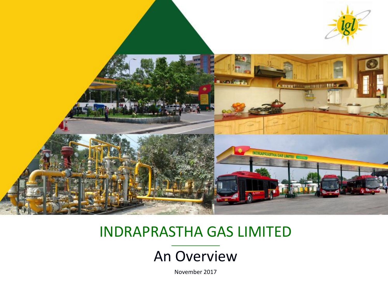

#### INDRAPRASTHA GAS LIMITED

#### An Overview

November 2017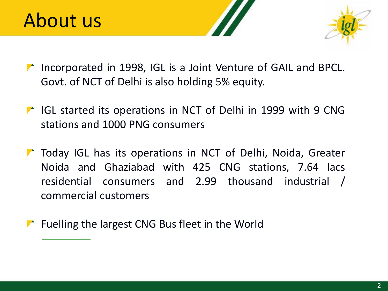

- Incorporated in 1998, IGL is a Joint Venture of GAIL and BPCL. Govt. of NCT of Delhi is also holding 5% equity.
- **T** IGL started its operations in NCT of Delhi in 1999 with 9 CNG stations and 1000 PNG consumers
- **The Today IGL has its operations in NCT of Delhi, Noida, Greater** Noida and Ghaziabad with 425 CNG stations, 7.64 lacs residential consumers and 2.99 thousand industrial / commercial customers
- **F** Fuelling the largest CNG Bus fleet in the World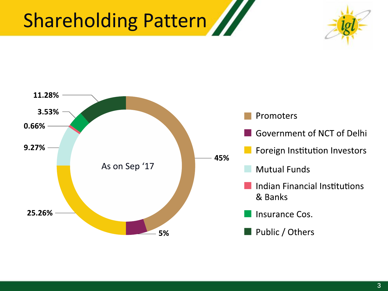# Shareholding Pattern



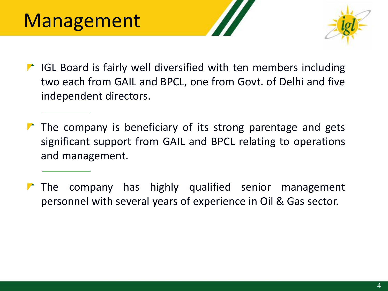

- $\blacksquare$  IGL Board is fairly well diversified with ten members including two each from GAIL and BPCL, one from Govt. of Delhi and five independent directors.
- $\blacktriangleright$  The company is beneficiary of its strong parentage and gets significant support from GAIL and BPCL relating to operations and management.
- $\triangleright$  The company has highly qualified senior management personnel with several years of experience in Oil & Gas sector.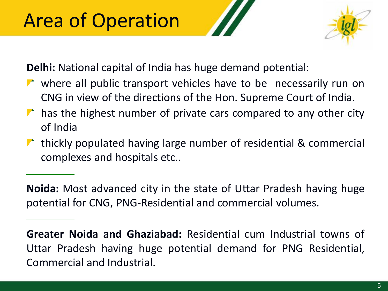# Area of Operation



**Delhi:** National capital of India has huge demand potential:

- where all public transport vehicles have to be necessarily run on CNG in view of the directions of the Hon. Supreme Court of India.
- $\triangleright$  has the highest number of private cars compared to any other city of India
- $\triangleright$  thickly populated having large number of residential & commercial complexes and hospitals etc..

**Noida:** Most advanced city in the state of Uttar Pradesh having huge potential for CNG, PNG-Residential and commercial volumes.

**Greater Noida and Ghaziabad:** Residential cum Industrial towns of Uttar Pradesh having huge potential demand for PNG Residential, Commercial and Industrial.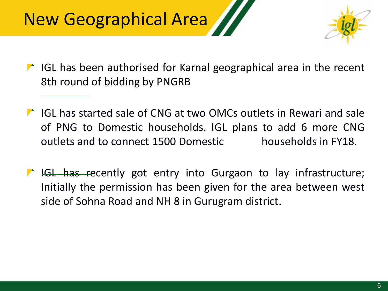# New Geographical Area



- $\blacksquare$  IGL has been authorised for Karnal geographical area in the recent 8th round of bidding by PNGRB
- IGL has started sale of CNG at two OMCs outlets in Rewari and sale of PNG to Domestic households. IGL plans to add 6 more CNG outlets and to connect 1500 Domestic households in FY18.
- IGL has recently got entry into Gurgaon to lay infrastructure; Initially the permission has been given for the area between west side of Sohna Road and NH 8 in Gurugram district.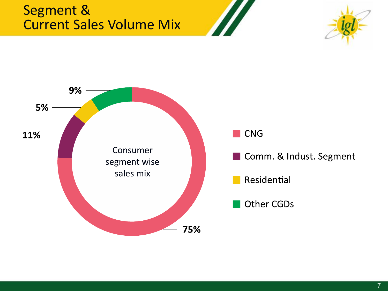#### Segment & Current Sales Volume Mix



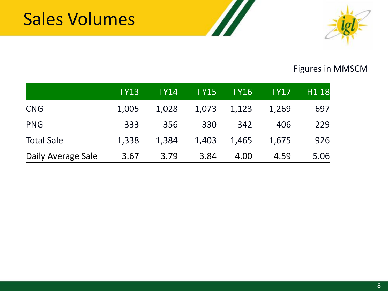

#### Figures in MMSCM

|                    | <b>FY13</b> | <b>FY14</b> | <b>FY15</b> | <b>FY16</b> | <b>FY17</b> | H <sub>1</sub> 18 |
|--------------------|-------------|-------------|-------------|-------------|-------------|-------------------|
| <b>CNG</b>         | 1,005       | 1,028       | 1,073       | 1,123       | 1,269       | 697               |
| <b>PNG</b>         | 333         | 356         | 330         | 342         | 406         | 229               |
| <b>Total Sale</b>  | 1,338       | 1,384       | 1,403       | 1,465       | 1,675       | 926               |
| Daily Average Sale | 3.67        | 3.79        | 3.84        | 4.00        | 4.59        | 5.06              |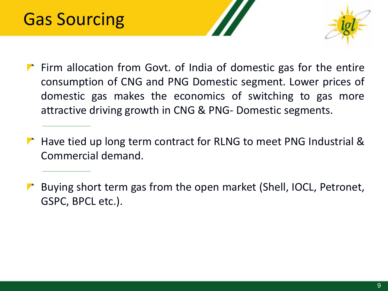

- $\blacktriangleright$  Firm allocation from Govt. of India of domestic gas for the entire consumption of CNG and PNG Domestic segment. Lower prices of domestic gas makes the economics of switching to gas more attractive driving growth in CNG & PNG- Domestic segments.
- $\blacktriangleright$  Have tied up long term contract for RLNG to meet PNG Industrial & Commercial demand.
- **Buying short term gas from the open market (Shell, IOCL, Petronet,** GSPC, BPCL etc.).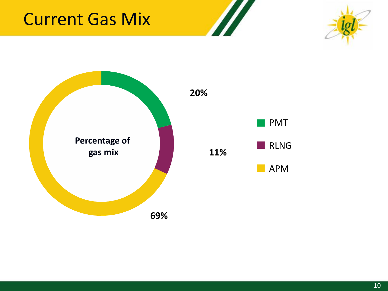### Current Gas Mix



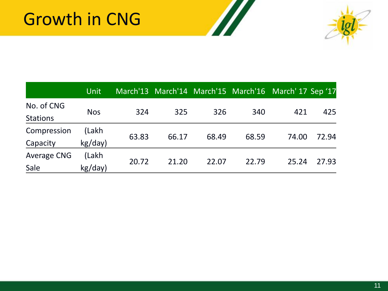

|                               | <b>Unit</b>      |       |       |       |       | March'13 March'14 March'15 March'16 March'17 Sep '17 |       |
|-------------------------------|------------------|-------|-------|-------|-------|------------------------------------------------------|-------|
| No. of CNG<br><b>Stations</b> | <b>Nos</b>       | 324   | 325   | 326   | 340   | 421                                                  | 425   |
| Compression<br>Capacity       | (Lakh<br>kg/day) | 63.83 | 66.17 | 68.49 | 68.59 | 74.00                                                | 72.94 |
| <b>Average CNG</b><br>Sale    | (Lakh<br>kg/day) | 20.72 | 21.20 | 22.07 | 22.79 | 25.24                                                | 27.93 |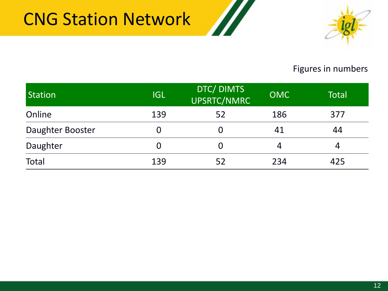### CNG Station Network





#### Figures in numbers

| Station          | <b>IIGL</b> | DTC/ DIMTS<br>UPSRTC/NMRC | <b>OMC</b> | <b>Total</b> |
|------------------|-------------|---------------------------|------------|--------------|
| Online           | 139         | 52                        | 186        | 377          |
| Daughter Booster |             | 0                         | 41         | 44           |
| Daughter         |             | 0                         | 4          | 4            |
| <b>Total</b>     | 139         | 52                        | 234        | 425          |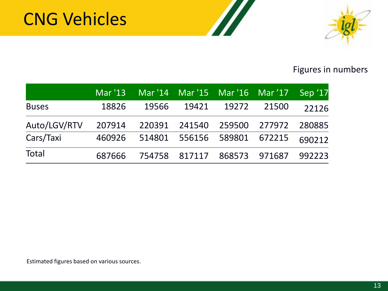### CNG Vehicles



#### Figures in numbers

|              |        | Mar '13 Mar '14 Mar '15 Mar '16 Mar '17 Sep '17 |                             |             |       |        |
|--------------|--------|-------------------------------------------------|-----------------------------|-------------|-------|--------|
| <b>Buses</b> | 18826  | 19566                                           |                             | 19421 19272 | 21500 | 22126  |
| Auto/LGV/RTV | 207914 | 220391 241540 259500 277972                     |                             |             |       | 280885 |
| Cars/Taxi    |        | 460926 514801 556156 589801 672215              |                             |             |       | 690212 |
| <b>Total</b> | 687666 |                                                 | 754758 817117 868573 971687 |             |       | 992223 |

//

Estimated figures based on various sources.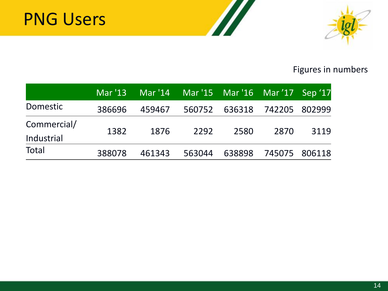

#### Figures in numbers

|                 |        | Mar '13 Mar '14 Mar '15 Mar '16 Mar '17 Sep '17 |        |                             |               |      |
|-----------------|--------|-------------------------------------------------|--------|-----------------------------|---------------|------|
| <b>Domestic</b> | 386696 | 459467                                          |        | 560752 636318 742205 802999 |               |      |
| Commercial/     | 1382   | 1876                                            | 2292   | 2580                        | 2870          | 3119 |
| Industrial      |        |                                                 |        |                             |               |      |
| <b>Total</b>    | 388078 | 461343                                          | 563044 | 638898                      | 745075 806118 |      |

11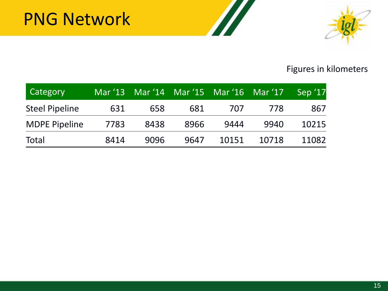

#### Figures in kilometers

| Category              |      |      | Mar '13 Mar '14 Mar '15 Mar '16 Mar '17 |       |       | Sep '17 |
|-----------------------|------|------|-----------------------------------------|-------|-------|---------|
| <b>Steel Pipeline</b> | 631  | 658  | 681                                     | 707   | 778   | 867     |
| <b>MDPE Pipeline</b>  | 7783 | 8438 | 8966                                    | 9444  | 9940  | 10215   |
| <b>Total</b>          | 8414 | 9096 | 9647                                    | 10151 | 10718 | 11082   |

77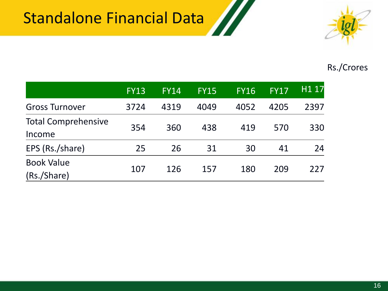### Standalone Financial Data



#### Rs./Crores

|                                      | <b>FY13</b> | <b>FY14</b> | <b>FY15</b> | <b>FY16</b> | <b>FY17</b> | H <sub>1</sub> 17 |
|--------------------------------------|-------------|-------------|-------------|-------------|-------------|-------------------|
| <b>Gross Turnover</b>                | 3724        | 4319        | 4049        | 4052        | 4205        | 2397              |
| <b>Total Comprehensive</b><br>Income | 354         | 360         | 438         | 419         | 570         | 330               |
| EPS (Rs./share)                      | 25          | 26          | 31          | 30          | 41          | 24                |
| <b>Book Value</b><br>(Rs./Share)     | 107         | 126         | 157         | 180         | 209         | 227               |

M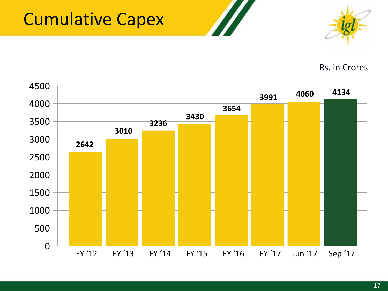### Cumulative Capex



Rs. in Crores

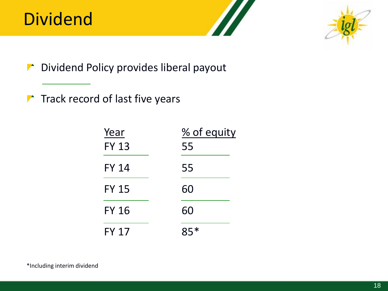### Dividend



Dividend Policy provides liberal payout

 $\blacktriangleright$  Track record of last five years

| Year         | % of equity |
|--------------|-------------|
| <b>FY 13</b> | 55          |
| <b>FY 14</b> | 55          |
| <b>FY 15</b> | 60          |
| <b>FY 16</b> | 60          |
| <b>FY 17</b> | $85*$       |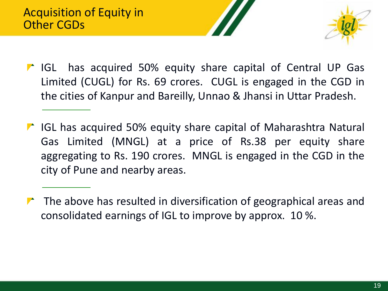

- **IF IGL has acquired 50% equity share capital of Central UP Gas** Limited (CUGL) for Rs. 69 crores. CUGL is engaged in the CGD in the cities of Kanpur and Bareilly, Unnao & Jhansi in Uttar Pradesh.
- **T** IGL has acquired 50% equity share capital of Maharashtra Natural Gas Limited (MNGL) at a price of Rs.38 per equity share aggregating to Rs. 190 crores. MNGL is engaged in the CGD in the city of Pune and nearby areas.
- $\blacktriangleright$  The above has resulted in diversification of geographical areas and consolidated earnings of IGL to improve by approx. 10 %.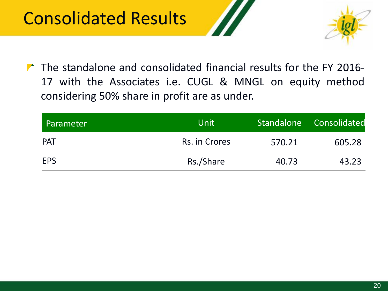### Consolidated Results





 $\triangleright$  The standalone and consolidated financial results for the FY 2016-17 with the Associates i.e. CUGL & MNGL on equity method considering 50% share in profit are as under.

| Parameter  | <b>Unit</b>   | <b>Standalone</b> | Consolidated |
|------------|---------------|-------------------|--------------|
| <b>PAT</b> | Rs. in Crores | 570.21            | 605.28       |
| <b>EPS</b> | Rs./Share     | 40.73             | 43.23        |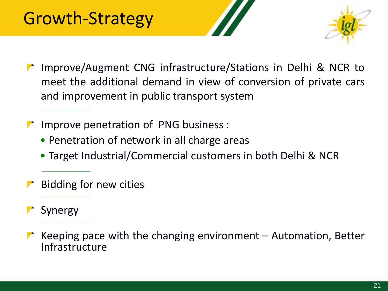

- ▶ Improve/Augment CNG infrastructure/Stations in Delhi & NCR to meet the additional demand in view of conversion of private cars and improvement in public transport system
- Improve penetration of PNG business :
	- Penetration of network in all charge areas
	- Target Industrial/Commercial customers in both Delhi & NCR
- Bidding for new cities
- Synergy
- Keeping pace with the changing environment Automation, Better Infrastructure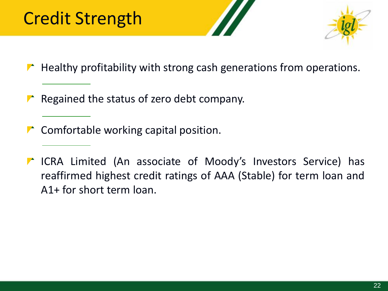### Credit Strength



- $\blacktriangleright$  Healthy profitability with strong cash generations from operations.
- Regained the status of zero debt company.
- $\blacktriangleright$  Comfortable working capital position.
- ICRA Limited (An associate of Moody's Investors Service) has reaffirmed highest credit ratings of AAA (Stable) for term loan and A1+ for short term loan.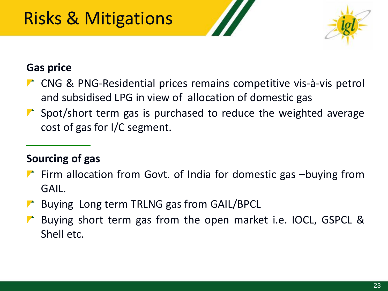## Risks & Mitigations



#### **Gas price**

- ▶ CNG & PNG-Residential prices remains competitive vis-à-vis petrol and subsidised LPG in view of allocation of domestic gas
- $\triangleright$  Spot/short term gas is purchased to reduce the weighted average cost of gas for I/C segment.

#### **Sourcing of gas**

- $\blacktriangleright$  Firm allocation from Govt. of India for domestic gas -buying from GAIL.
- **Buying Long term TRLNG gas from GAIL/BPCL**
- Buying short term gas from the open market i.e. IOCL, GSPCL & Shell etc.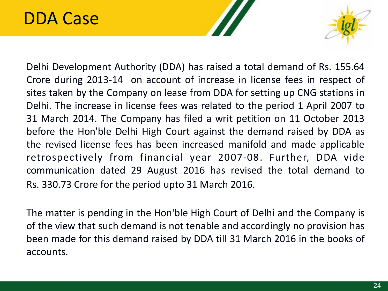#### DDA Case



Delhi Development Authority (DDA) has raised a total demand of Rs. 155.64 Crore during 2013-14 on account of increase in license fees in respect of sites taken by the Company on lease from DDA for setting up CNG stations in Delhi. The increase in license fees was related to the period 1 April 2007 to 31 March 2014. The Company has filed a writ petition on 11 October 2013 before the Hon'ble Delhi High Court against the demand raised by DDA as the revised license fees has been increased manifold and made applicable retrospectively from financial year 2007-08. Further, DDA vide communication dated 29 August 2016 has revised the total demand to Rs. 330.73 Crore for the period upto 31 March 2016.

The matter is pending in the Hon'ble High Court of Delhi and the Company is of the view that such demand is not tenable and accordingly no provision has been made for this demand raised by DDA till 31 March 2016 in the books of accounts.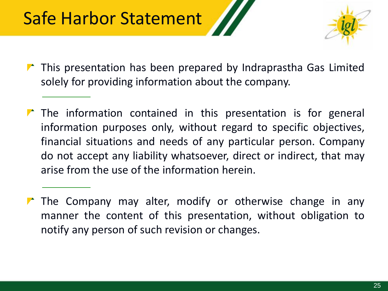

- $\blacktriangleright$  This presentation has been prepared by Indraprastha Gas Limited solely for providing information about the company.
- $\blacktriangleright$  The information contained in this presentation is for general information purposes only, without regard to specific objectives, financial situations and needs of any particular person. Company do not accept any liability whatsoever, direct or indirect, that may arise from the use of the information herein.
- $\blacktriangleright$  The Company may alter, modify or otherwise change in any manner the content of this presentation, without obligation to notify any person of such revision or changes.